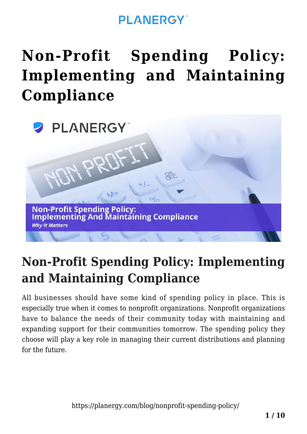### **PI ANFRGY**

# **[Non-Profit Spending Policy:](https://planergy.com/blog/nonprofit-spending-policy/) [Implementing and Maintaining](https://planergy.com/blog/nonprofit-spending-policy/) [Compliance](https://planergy.com/blog/nonprofit-spending-policy/)**



### **Non-Profit Spending Policy: Implementing and Maintaining Compliance**

All businesses should have some kind of spending policy in place. This is especially true when it comes to nonprofit organizations. Nonprofit organizations have to balance the needs of their community today with maintaining and expanding support for their communities tomorrow. The spending policy they choose will play a key role in managing their current distributions and planning for the future.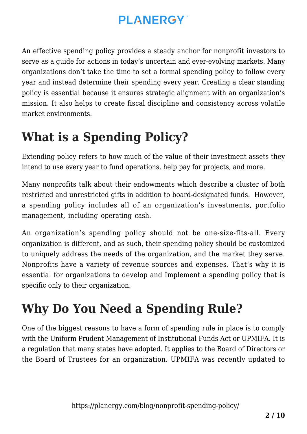An effective spending policy provides a steady anchor for nonprofit investors to serve as a guide for actions in today's uncertain and ever-evolving markets. Many organizations don't take the time to set a formal spending policy to follow every year and instead determine their spending every year. Creating a clear standing policy is essential because it ensures strategic alignment with an organization's mission. It also helps to create fiscal discipline and consistency across volatile market environments.

### **What is a Spending Policy?**

Extending policy refers to how much of the value of their investment assets they intend to use every year to fund operations, help pay for projects, and more.

Many nonprofits talk about their endowments which describe a cluster of both restricted and unrestricted gifts in addition to board-designated funds. However, a spending policy includes all of an organization's investments, portfolio management, including operating cash.

An organization's spending policy should not be one-size-fits-all. Every organization is different, and as such, their spending policy should be customized to uniquely address the needs of the organization, and the market they serve. Nonprofits have a variety of revenue sources and expenses. That's why it is essential for organizations to develop and Implement a spending policy that is specific only to their organization.

## **Why Do You Need a Spending Rule?**

One of the biggest reasons to have a form of spending rule in place is to comply with the Uniform Prudent Management of Institutional Funds Act or UPMIFA. It is a regulation that many states have adopted. It applies to the Board of Directors or the Board of Trustees for an organization. UPMIFA was recently updated to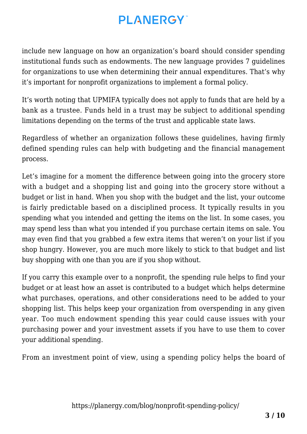include new language on how an organization's board should consider spending institutional funds such as endowments. The new language provides 7 guidelines for organizations to use when determining their annual expenditures. That's why it's important for nonprofit organizations to implement a formal policy.

It's worth noting that UPMIFA typically does not apply to funds that are held by a bank as a trustee. Funds held in a trust may be subject to additional spending limitations depending on the terms of the trust and applicable state laws.

Regardless of whether an organization follows these guidelines, having firmly defined spending rules can help with budgeting and the financial management process.

Let's imagine for a moment the difference between going into the grocery store with a budget and a shopping list and going into the grocery store without a budget or list in hand. When you shop with the budget and the list, your outcome is fairly predictable based on a disciplined process. It typically results in you spending what you intended and getting the items on the list. In some cases, you may spend less than what you intended if you purchase certain items on sale. You may even find that you grabbed a few extra items that weren't on your list if you shop hungry. However, you are much more likely to stick to that budget and list buy shopping with one than you are if you shop without.

If you carry this example over to a nonprofit, the spending rule helps to find your budget or at least how an asset is contributed to a budget which helps determine what purchases, operations, and other considerations need to be added to your shopping list. This helps keep your organization from overspending in any given year. Too much endowment spending this year could cause issues with your purchasing power and your investment assets if you have to use them to cover your additional spending.

From an investment point of view, using a spending policy helps the board of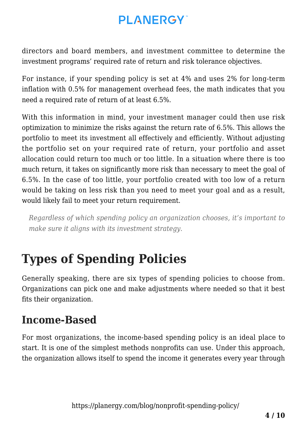directors and board members, and investment committee to determine the investment programs' required rate of return and risk tolerance objectives.

For instance, if your spending policy is set at 4% and uses 2% for long-term inflation with 0.5% for management overhead fees, the math indicates that you need a required rate of return of at least 6.5%.

With this information in mind, your investment manager could then use risk optimization to minimize the risks against the return rate of 6.5%. This allows the portfolio to meet its investment all effectively and efficiently. Without adjusting the portfolio set on your required rate of return, your portfolio and asset allocation could return too much or too little. In a situation where there is too much return, it takes on significantly more risk than necessary to meet the goal of 6.5%. In the case of too little, your portfolio created with too low of a return would be taking on less risk than you need to meet your goal and as a result, would likely fail to meet your return requirement.

*Regardless of which spending policy an organization chooses, it's important to make sure it aligns with its investment strategy.*

## **Types of Spending Policies**

Generally speaking, there are six types of spending policies to choose from. Organizations can pick one and make adjustments where needed so that it best fits their organization.

#### **Income-Based**

For most organizations, the income-based spending policy is an ideal place to start. It is one of the simplest methods nonprofits can use. Under this approach, the organization allows itself to spend the income it generates every year through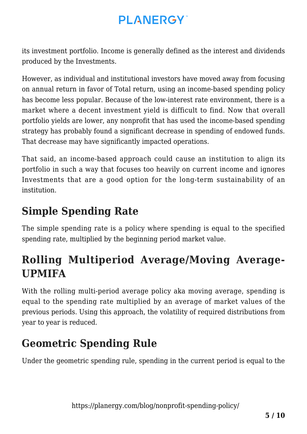its investment portfolio. Income is generally defined as the interest and dividends produced by the Investments.

However, as individual and institutional investors have moved away from focusing on annual return in favor of Total return, using an income-based spending policy has become less popular. Because of the low-interest rate environment, there is a market where a decent investment yield is difficult to find. Now that overall portfolio yields are lower, any nonprofit that has used the income-based spending strategy has probably found a significant decrease in spending of endowed funds. That decrease may have significantly impacted operations.

That said, an income-based approach could cause an institution to align its portfolio in such a way that focuses too heavily on current income and ignores Investments that are a good option for the long-term sustainability of an institution.

### **Simple Spending Rate**

The simple spending rate is a policy where spending is equal to the specified spending rate, multiplied by the beginning period market value.

### **Rolling Multiperiod Average/Moving Average-UPMIFA**

With the rolling multi-period average policy aka moving average, spending is equal to the spending rate multiplied by an average of market values of the previous periods. Using this approach, the volatility of required distributions from year to year is reduced.

### **Geometric Spending Rule**

Under the geometric spending rule, spending in the current period is equal to the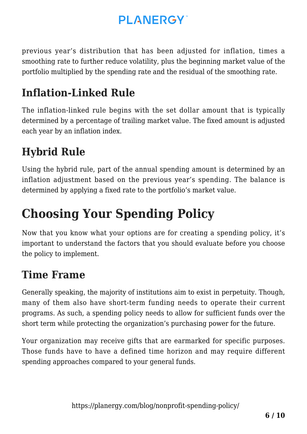previous year's distribution that has been adjusted for inflation, times a smoothing rate to further reduce volatility, plus the beginning market value of the portfolio multiplied by the spending rate and the residual of the smoothing rate.

### **Inflation-Linked Rule**

The inflation-linked rule begins with the set dollar amount that is typically determined by a percentage of trailing market value. The fixed amount is adjusted each year by an inflation index.

### **Hybrid Rule**

Using the hybrid rule, part of the annual spending amount is determined by an inflation adjustment based on the previous year's spending. The balance is determined by applying a fixed rate to the portfolio's market value.

## **Choosing Your Spending Policy**

Now that you know what your options are for creating a spending policy, it's important to understand the factors that you should evaluate before you choose the policy to implement.

#### **Time Frame**

Generally speaking, the majority of institutions aim to exist in perpetuity. Though, many of them also have short-term funding needs to operate their current programs. As such, a spending policy needs to allow for sufficient funds over the short term while protecting the organization's purchasing power for the future.

Your organization may receive gifts that are earmarked for specific purposes. Those funds have to have a defined time horizon and may require different spending approaches compared to your general funds.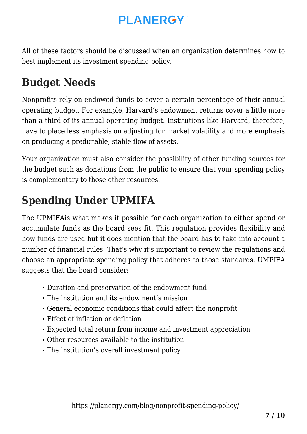All of these factors should be discussed when an organization determines how to best implement its investment spending policy.

### **Budget Needs**

Nonprofits rely on endowed funds to cover a certain percentage of their annual operating budget. For example, Harvard's endowment returns cover a little more than a third of its annual operating budget. Institutions like Harvard, therefore, have to place less emphasis on adjusting for market volatility and more emphasis on producing a predictable, stable flow of assets.

Your organization must also consider the possibility of other funding sources for the budget such as donations from the public to ensure that your spending policy is complementary to those other resources.

### **Spending Under UPMIFA**

The UPMIFAis what makes it possible for each organization to either spend or accumulate funds as the board sees fit. This regulation provides flexibility and how funds are used but it does mention that the board has to take into account a number of financial rules. That's why it's important to review the regulations and choose an appropriate spending policy that adheres to those standards. UMPIFA suggests that the board consider:

- Duration and preservation of the endowment fund
- The institution and its endowment's mission
- General economic conditions that could affect the nonprofit
- Effect of inflation or deflation
- Expected total return from income and investment appreciation
- Other resources available to the institution
- The institution's overall investment policy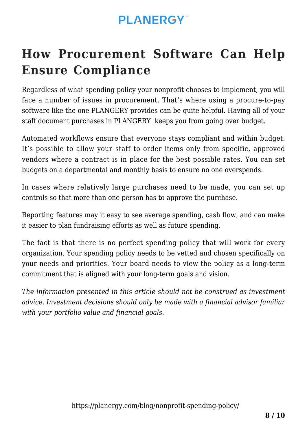## **How Procurement Software Can Help Ensure Compliance**

Regardless of what spending policy your nonprofit chooses to implement, you will face a number of [issues in procurement](https://planergy.com/blog/problems-in-nonprofit-procurement/). That's where using a [procure-to-pay](https://planergy.com/procurement-solutions/procure-to-pay-software/) [software](https://planergy.com/procurement-solutions/procure-to-pay-software/) like the one PLANGERY provides can be quite helpful. Having all of your staff document purchases in PLANGERY keeps you from going over budget.

Automated workflows ensure that everyone stays compliant and within budget. It's possible to allow your staff to order items only from specific, approved vendors where a contract is in place for the best possible rates. You can set budgets on a departmental and monthly basis to ensure no one overspends.

In cases where relatively large purchases need to be made, you can set up controls so that more than one person has to approve the purchase.

Reporting features may it easy to see average spending, cash flow, and can make it easier to plan fundraising efforts as well as future spending.

The fact is that there is no perfect spending policy that will work for every organization. Your spending policy needs to be vetted and chosen specifically on your needs and priorities. Your board needs to view the policy as a long-term commitment that is aligned with your long-term goals and vision.

*The information presented in this article should not be construed as investment advice. Investment decisions should only be made with a financial advisor familiar with your portfolio value and financial goals.*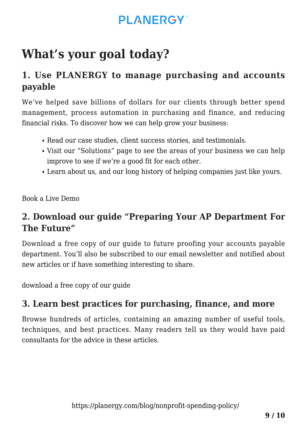## **What's your goal today?**

#### **1. Use PLANERGY to manage purchasing and accounts payable**

We've helped save billions of dollars for our clients through better spend management, process automation in purchasing and finance, and reducing financial risks. To discover how we can help grow your business:

- Read our [case studies, client success stories, and testimonials.](https://planergy.com/customers/)
- Visit our ["Solutions"](https://planergy.com/?elementor_library=single-post&elementor-preview=412&ver=1637705482#) page to see the areas of your business we can help improve to see if we're a good fit for each other.
- Learn [about us, and our long history of helping companies just like yours.](https://planergy.com/about/)

[Book a Live Demo](https://planergy.com/schedule-a-demo/)

#### **2. Download our guide "Preparing Your AP Department For The Future"**

[Download a free copy](https://planergy.com/resources/preparing-your-ap-department-for-the-future/) of our guide to future proofing your accounts payable department. You'll also be subscribed to our [email newsletter](#page--1-0) and notified about new articles or if have something interesting to share.

[download a free copy of our guide](https://planergy.com/resources/preparing-your-ap-department-for-the-future/)

#### **3. Learn best practices for purchasing, finance, and more**

Browse [hundreds of articles,](https://planergy.com/blog/) containing an amazing number of useful tools, techniques, and best practices. Many readers tell us they would have paid consultants for the advice in these articles.